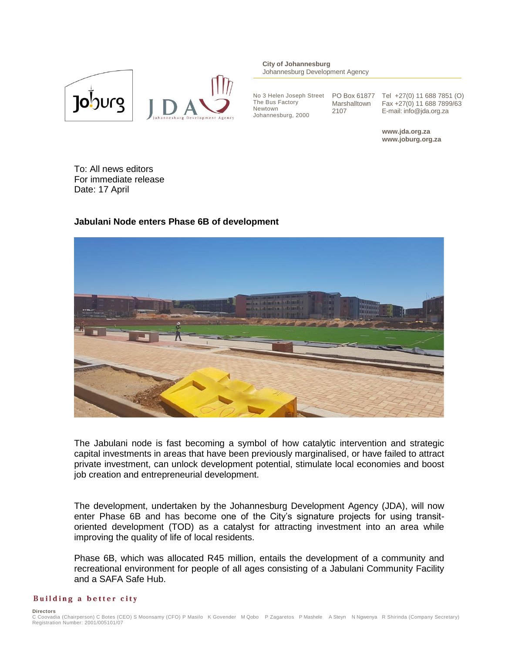

**City of Johannesburg** Johannesburg Development Agency

No 3 Helen Joseph Street The Bus Factory Newtown Johannesburg, 2000

Marshalltown 2107

PO Box 61877 Tel +27(0) 11 688 7851 (O) Fax +27(0) 11 688 7899/63 E-mail: info@jda.org.za

> **www.jda.org.za www.joburg.org.za**

To: All news editors For immediate release Date: 17 April

## **Jabulani Node enters Phase 6B of development**



The Jabulani node is fast becoming a symbol of how catalytic intervention and strategic capital investments in areas that have been previously marginalised, or have failed to attract private investment, can unlock development potential, stimulate local economies and boost job creation and entrepreneurial development.

The development, undertaken by the Johannesburg Development Agency (JDA), will now enter Phase 6B and has become one of the City's signature projects for using transitoriented development (TOD) as a catalyst for attracting investment into an area while improving the quality of life of local residents.

Phase 6B, which was allocated R45 million, entails the development of a community and recreational environment for people of all ages consisting of a Jabulani Community Facility and a SAFA Safe Hub.

## Building a better city

**Directors**